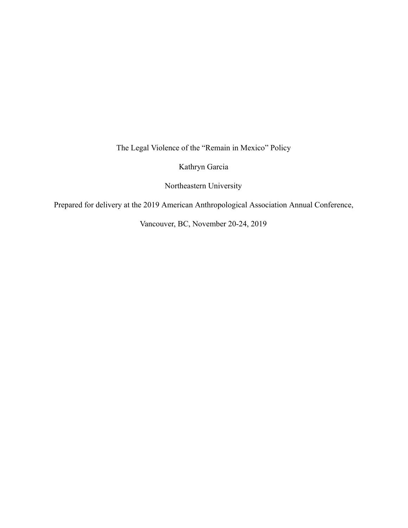The Legal Violence of the "Remain in Mexico" Policy

Kathryn Garcia

Northeastern University

Prepared for delivery at the 2019 American Anthropological Association Annual Conference,

Vancouver, BC, November 20-24, 2019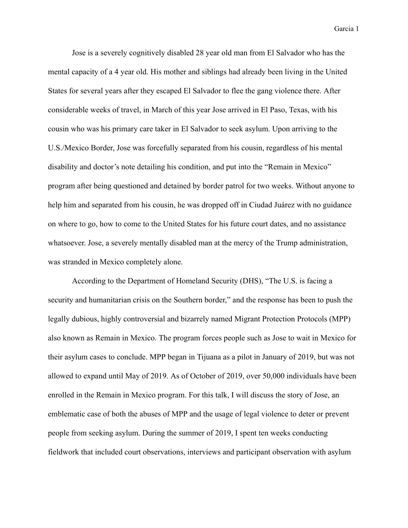Jose is a severely cognitively disabled 28 year old man from El Salvador who has the mental capacity of a 4 year old. His mother and siblings had already been living in the United States for several years after they escaped El Salvador to flee the gang violence there. After considerable weeks of travel, in March of this year Jose arrived in El Paso, Texas, with his cousin who was his primary care taker in El Salvador to seek asylum. Upon arriving to the U.S./Mexico Border, Jose was forcefully separated from his cousin, regardless of his mental disability and doctor's note detailing his condition, and put into the "Remain in Mexico" program after being questioned and detained by border patrol for two weeks. Without anyone to help him and separated from his cousin, he was dropped off in Ciudad Juárez with no guidance on where to go, how to come to the United States for his future court dates, and no assistance whatsoever. Jose, a severely mentally disabled man at the mercy of the Trump administration, was stranded in Mexico completely alone.

According to the Department of Homeland Security (DHS), "The U.S. is facing a security and humanitarian crisis on the Southern border," and the response has been to push the legally dubious, highly controversial and bizarrely named Migrant Protection Protocols (MPP) also known as Remain in Mexico. The program forces people such as Jose to wait in Mexico for their asylum cases to conclude. MPP began in Tijuana as a pilot in January of 2019, but was not allowed to expand until May of 2019. As of October of 2019, over 50,000 individuals have been enrolled in the Remain in Mexico program. For this talk, I will discuss the story of Jose, an emblematic case of both the abuses of MPP and the usage of legal violence to deter or prevent people from seeking asylum. During the summer of 2019, I spent ten weeks conducting fieldwork that included court observations, interviews and participant observation with asylum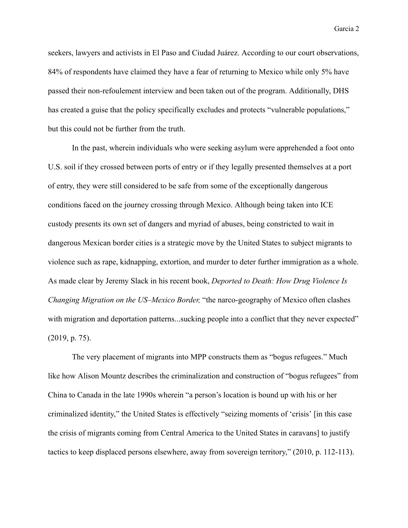seekers, lawyers and activists in El Paso and Ciudad Juárez. According to our court observations, 84% of respondents have claimed they have a fear of returning to Mexico while only 5% have passed their non-refoulement interview and been taken out of the program. Additionally, DHS has created a guise that the policy specifically excludes and protects "vulnerable populations," but this could not be further from the truth.

In the past, wherein individuals who were seeking asylum were apprehended a foot onto U.S. soil if they crossed between ports of entry or if they legally presented themselves at a port of entry, they were still considered to be safe from some of the exceptionally dangerous conditions faced on the journey crossing through Mexico. Although being taken into ICE custody presents its own set of dangers and myriad of abuses, being constricted to wait in dangerous Mexican border cities is a strategic move by the United States to subject migrants to violence such as rape, kidnapping, extortion, and murder to deter further immigration as a whole. As made clear by Jeremy Slack in his recent book, *Deported to Death: How Drug Violence Is Changing Migration on the US–Mexico Border,* "the narco-geography of Mexico often clashes with migration and deportation patterns...sucking people into a conflict that they never expected" (2019, p. 75).

The very placement of migrants into MPP constructs them as "bogus refugees." Much like how Alison Mountz describes the criminalization and construction of "bogus refugees" from China to Canada in the late 1990s wherein "a person's location is bound up with his or her criminalized identity," the United States is effectively "seizing moments of 'crisis' [in this case the crisis of migrants coming from Central America to the United States in caravans] to justify tactics to keep displaced persons elsewhere, away from sovereign territory," (2010, p. 112-113).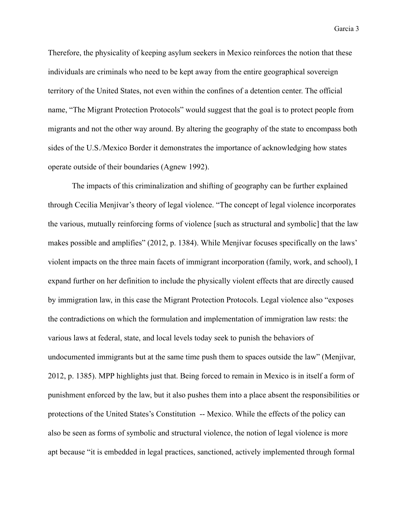Therefore, the physicality of keeping asylum seekers in Mexico reinforces the notion that these individuals are criminals who need to be kept away from the entire geographical sovereign territory of the United States, not even within the confines of a detention center. The official name, "The Migrant Protection Protocols" would suggest that the goal is to protect people from migrants and not the other way around. By altering the geography of the state to encompass both sides of the U.S./Mexico Border it demonstrates the importance of acknowledging how states operate outside of their boundaries (Agnew 1992).

The impacts of this criminalization and shifting of geography can be further explained through Cecilia Menjívar's theory of legal violence. "The concept of legal violence incorporates the various, mutually reinforcing forms of violence [such as structural and symbolic] that the law makes possible and amplifies" (2012, p. 1384). While Menjívar focuses specifically on the laws' violent impacts on the three main facets of immigrant incorporation (family, work, and school), I expand further on her definition to include the physically violent effects that are directly caused by immigration law, in this case the Migrant Protection Protocols. Legal violence also "exposes the contradictions on which the formulation and implementation of immigration law rests: the various laws at federal, state, and local levels today seek to punish the behaviors of undocumented immigrants but at the same time push them to spaces outside the law" (Menjívar, 2012, p. 1385). MPP highlights just that. Being forced to remain in Mexico is in itself a form of punishment enforced by the law, but it also pushes them into a place absent the responsibilities or protections of the United States's Constitution -- Mexico. While the effects of the policy can also be seen as forms of symbolic and structural violence, the notion of legal violence is more apt because "it is embedded in legal practices, sanctioned, actively implemented through formal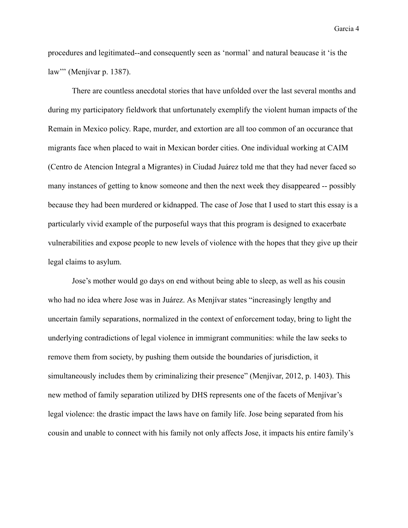procedures and legitimated--and consequently seen as 'normal' and natural beaucase it 'is the law''' (Menjívar p. 1387).

There are countless anecdotal stories that have unfolded over the last several months and during my participatory fieldwork that unfortunately exemplify the violent human impacts of the Remain in Mexico policy. Rape, murder, and extortion are all too common of an occurance that migrants face when placed to wait in Mexican border cities. One individual working at CAIM (Centro de Atencion Integral a Migrantes) in Ciudad Juárez told me that they had never faced so many instances of getting to know someone and then the next week they disappeared -- possibly because they had been murdered or kidnapped. The case of Jose that I used to start this essay is a particularly vivid example of the purposeful ways that this program is designed to exacerbate vulnerabilities and expose people to new levels of violence with the hopes that they give up their legal claims to asylum.

Jose's mother would go days on end without being able to sleep, as well as his cousin who had no idea where Jose was in Juárez. As Menjívar states "increasingly lengthy and uncertain family separations, normalized in the context of enforcement today, bring to light the underlying contradictions of legal violence in immigrant communities: while the law seeks to remove them from society, by pushing them outside the boundaries of jurisdiction, it simultaneously includes them by criminalizing their presence" (Menjívar, 2012, p. 1403). This new method of family separation utilized by DHS represents one of the facets of Menjívar's legal violence: the drastic impact the laws have on family life. Jose being separated from his cousin and unable to connect with his family not only affects Jose, it impacts his entire family's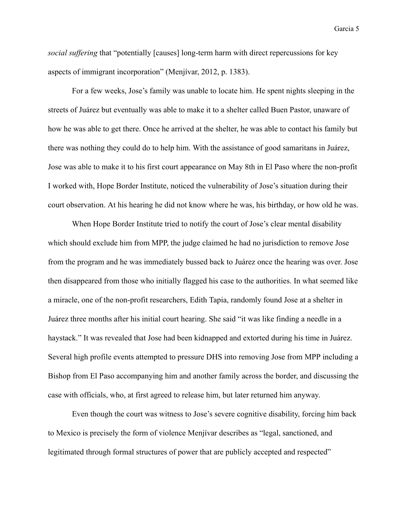*social suffering* that "potentially [causes] long-term harm with direct repercussions for key aspects of immigrant incorporation" (Menjívar, 2012, p. 1383).

For a few weeks, Jose's family was unable to locate him. He spent nights sleeping in the streets of Juárez but eventually was able to make it to a shelter called Buen Pastor, unaware of how he was able to get there. Once he arrived at the shelter, he was able to contact his family but there was nothing they could do to help him. With the assistance of good samaritans in Juárez, Jose was able to make it to his first court appearance on May 8th in El Paso where the non-profit I worked with, Hope Border Institute, noticed the vulnerability of Jose's situation during their court observation. At his hearing he did not know where he was, his birthday, or how old he was.

When Hope Border Institute tried to notify the court of Jose's clear mental disability which should exclude him from MPP, the judge claimed he had no jurisdiction to remove Jose from the program and he was immediately bussed back to Juárez once the hearing was over. Jose then disappeared from those who initially flagged his case to the authorities. In what seemed like a miracle, one of the non-profit researchers, Edith Tapia, randomly found Jose at a shelter in Juárez three months after his initial court hearing. She said "it was like finding a needle in a haystack." It was revealed that Jose had been kidnapped and extorted during his time in Juárez. Several high profile events attempted to pressure DHS into removing Jose from MPP including a Bishop from El Paso accompanying him and another family across the border, and discussing the case with officials, who, at first agreed to release him, but later returned him anyway.

Even though the court was witness to Jose's severe cognitive disability, forcing him back to Mexico is precisely the form of violence Menjívar describes as "legal, sanctioned, and legitimated through formal structures of power that are publicly accepted and respected"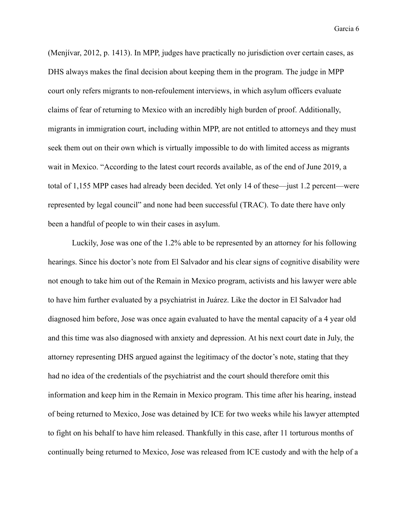(Menjívar, 2012, p. 1413). In MPP, judges have practically no jurisdiction over certain cases, as DHS always makes the final decision about keeping them in the program. The judge in MPP court only refers migrants to non-refoulement interviews, in which asylum officers evaluate claims of fear of returning to Mexico with an incredibly high burden of proof. Additionally, migrants in immigration court, including within MPP, are not entitled to attorneys and they must seek them out on their own which is virtually impossible to do with limited access as migrants wait in Mexico. "According to the latest court records available, as of the end of June 2019, a total of 1,155 MPP cases had already been decided. Yet only 14 of these—just 1.2 percent—were represented by legal council" and none had been successful (TRAC). To date there have only been a handful of people to win their cases in asylum.

Luckily, Jose was one of the 1.2% able to be represented by an attorney for his following hearings. Since his doctor's note from El Salvador and his clear signs of cognitive disability were not enough to take him out of the Remain in Mexico program, activists and his lawyer were able to have him further evaluated by a psychiatrist in Juárez. Like the doctor in El Salvador had diagnosed him before, Jose was once again evaluated to have the mental capacity of a 4 year old and this time was also diagnosed with anxiety and depression. At his next court date in July, the attorney representing DHS argued against the legitimacy of the doctor's note, stating that they had no idea of the credentials of the psychiatrist and the court should therefore omit this information and keep him in the Remain in Mexico program. This time after his hearing, instead of being returned to Mexico, Jose was detained by ICE for two weeks while his lawyer attempted to fight on his behalf to have him released. Thankfully in this case, after 11 torturous months of continually being returned to Mexico, Jose was released from ICE custody and with the help of a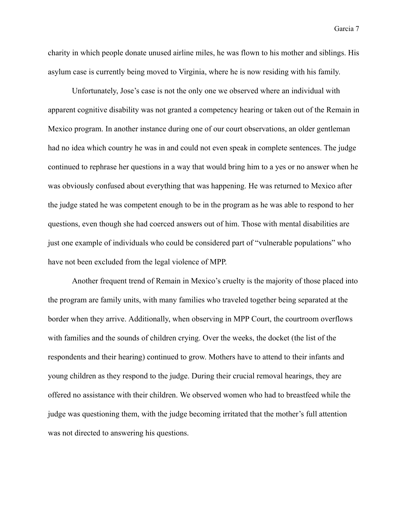charity in which people donate unused airline miles, he was flown to his mother and siblings. His asylum case is currently being moved to Virginia, where he is now residing with his family.

Unfortunately, Jose's case is not the only one we observed where an individual with apparent cognitive disability was not granted a competency hearing or taken out of the Remain in Mexico program. In another instance during one of our court observations, an older gentleman had no idea which country he was in and could not even speak in complete sentences. The judge continued to rephrase her questions in a way that would bring him to a yes or no answer when he was obviously confused about everything that was happening. He was returned to Mexico after the judge stated he was competent enough to be in the program as he was able to respond to her questions, even though she had coerced answers out of him. Those with mental disabilities are just one example of individuals who could be considered part of "vulnerable populations" who have not been excluded from the legal violence of MPP.

Another frequent trend of Remain in Mexico's cruelty is the majority of those placed into the program are family units, with many families who traveled together being separated at the border when they arrive. Additionally, when observing in MPP Court, the courtroom overflows with families and the sounds of children crying. Over the weeks, the docket (the list of the respondents and their hearing) continued to grow. Mothers have to attend to their infants and young children as they respond to the judge. During their crucial removal hearings, they are offered no assistance with their children. We observed women who had to breastfeed while the judge was questioning them, with the judge becoming irritated that the mother's full attention was not directed to answering his questions.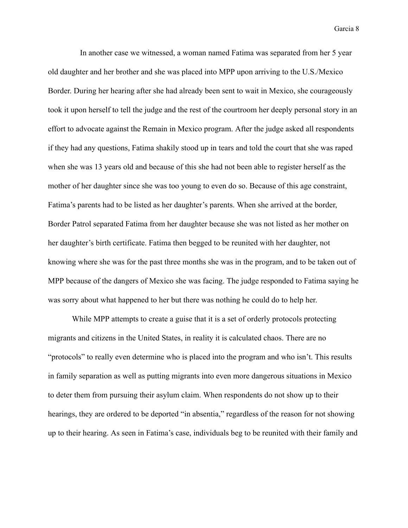In another case we witnessed, a woman named Fatima was separated from her 5 year old daughter and her brother and she was placed into MPP upon arriving to the U.S./Mexico Border. During her hearing after she had already been sent to wait in Mexico, she courageously took it upon herself to tell the judge and the rest of the courtroom her deeply personal story in an effort to advocate against the Remain in Mexico program. After the judge asked all respondents if they had any questions, Fatima shakily stood up in tears and told the court that she was raped when she was 13 years old and because of this she had not been able to register herself as the mother of her daughter since she was too young to even do so. Because of this age constraint, Fatima's parents had to be listed as her daughter's parents. When she arrived at the border, Border Patrol separated Fatima from her daughter because she was not listed as her mother on her daughter's birth certificate. Fatima then begged to be reunited with her daughter, not knowing where she was for the past three months she was in the program, and to be taken out of MPP because of the dangers of Mexico she was facing. The judge responded to Fatima saying he was sorry about what happened to her but there was nothing he could do to help her.

While MPP attempts to create a guise that it is a set of orderly protocols protecting migrants and citizens in the United States, in reality it is calculated chaos. There are no "protocols" to really even determine who is placed into the program and who isn't. This results in family separation as well as putting migrants into even more dangerous situations in Mexico to deter them from pursuing their asylum claim. When respondents do not show up to their hearings, they are ordered to be deported "in absentia," regardless of the reason for not showing up to their hearing. As seen in Fatima's case, individuals beg to be reunited with their family and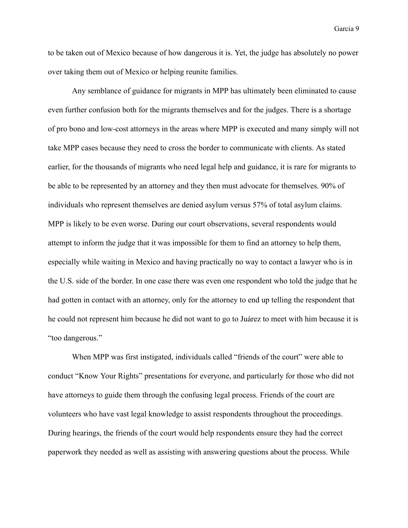to be taken out of Mexico because of how dangerous it is. Yet, the judge has absolutely no power over taking them out of Mexico or helping reunite families.

Any semblance of guidance for migrants in MPP has ultimately been eliminated to cause even further confusion both for the migrants themselves and for the judges. There is a shortage of pro bono and low-cost attorneys in the areas where MPP is executed and many simply will not take MPP cases because they need to cross the border to communicate with clients. As stated earlier, for the thousands of migrants who need legal help and guidance, it is rare for migrants to be able to be represented by an attorney and they then must advocate for themselves. 90% of individuals who represent themselves are denied asylum versus 57% of total asylum claims. MPP is likely to be even worse. During our court observations, several respondents would attempt to inform the judge that it was impossible for them to find an attorney to help them, especially while waiting in Mexico and having practically no way to contact a lawyer who is in the U.S. side of the border. In one case there was even one respondent who told the judge that he had gotten in contact with an attorney, only for the attorney to end up telling the respondent that he could not represent him because he did not want to go to Juárez to meet with him because it is "too dangerous."

When MPP was first instigated, individuals called "friends of the court" were able to conduct "Know Your Rights" presentations for everyone, and particularly for those who did not have attorneys to guide them through the confusing legal process. Friends of the court are volunteers who have vast legal knowledge to assist respondents throughout the proceedings. During hearings, the friends of the court would help respondents ensure they had the correct paperwork they needed as well as assisting with answering questions about the process. While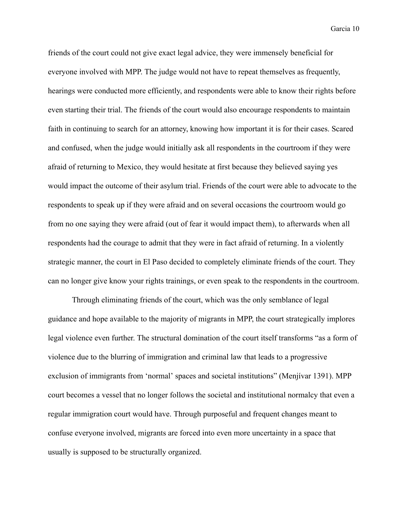friends of the court could not give exact legal advice, they were immensely beneficial for everyone involved with MPP. The judge would not have to repeat themselves as frequently, hearings were conducted more efficiently, and respondents were able to know their rights before even starting their trial. The friends of the court would also encourage respondents to maintain faith in continuing to search for an attorney, knowing how important it is for their cases. Scared and confused, when the judge would initially ask all respondents in the courtroom if they were afraid of returning to Mexico, they would hesitate at first because they believed saying yes would impact the outcome of their asylum trial. Friends of the court were able to advocate to the respondents to speak up if they were afraid and on several occasions the courtroom would go from no one saying they were afraid (out of fear it would impact them), to afterwards when all respondents had the courage to admit that they were in fact afraid of returning. In a violently strategic manner, the court in El Paso decided to completely eliminate friends of the court. They can no longer give know your rights trainings, or even speak to the respondents in the courtroom.

Through eliminating friends of the court, which was the only semblance of legal guidance and hope available to the majority of migrants in MPP, the court strategically implores legal violence even further. The structural domination of the court itself transforms "as a form of violence due to the blurring of immigration and criminal law that leads to a progressive exclusion of immigrants from 'normal' spaces and societal institutions" (Menjívar 1391). MPP court becomes a vessel that no longer follows the societal and institutional normalcy that even a regular immigration court would have. Through purposeful and frequent changes meant to confuse everyone involved, migrants are forced into even more uncertainty in a space that usually is supposed to be structurally organized.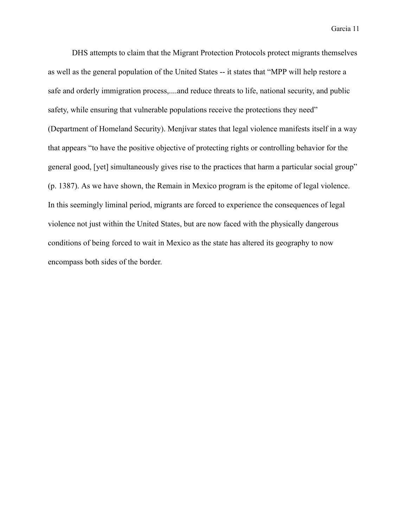DHS attempts to claim that the Migrant Protection Protocols protect migrants themselves as well as the general population of the United States -- it states that "MPP will help restore a safe and orderly immigration process,....and reduce threats to life, national security, and public safety, while ensuring that vulnerable populations receive the protections they need" (Department of Homeland Security). Menjívar states that legal violence manifests itself in a way that appears "to have the positive objective of protecting rights or controlling behavior for the general good, [yet] simultaneously gives rise to the practices that harm a particular social group" (p. 1387). As we have shown, the Remain in Mexico program is the epitome of legal violence. In this seemingly liminal period, migrants are forced to experience the consequences of legal violence not just within the United States, but are now faced with the physically dangerous conditions of being forced to wait in Mexico as the state has altered its geography to now encompass both sides of the border.